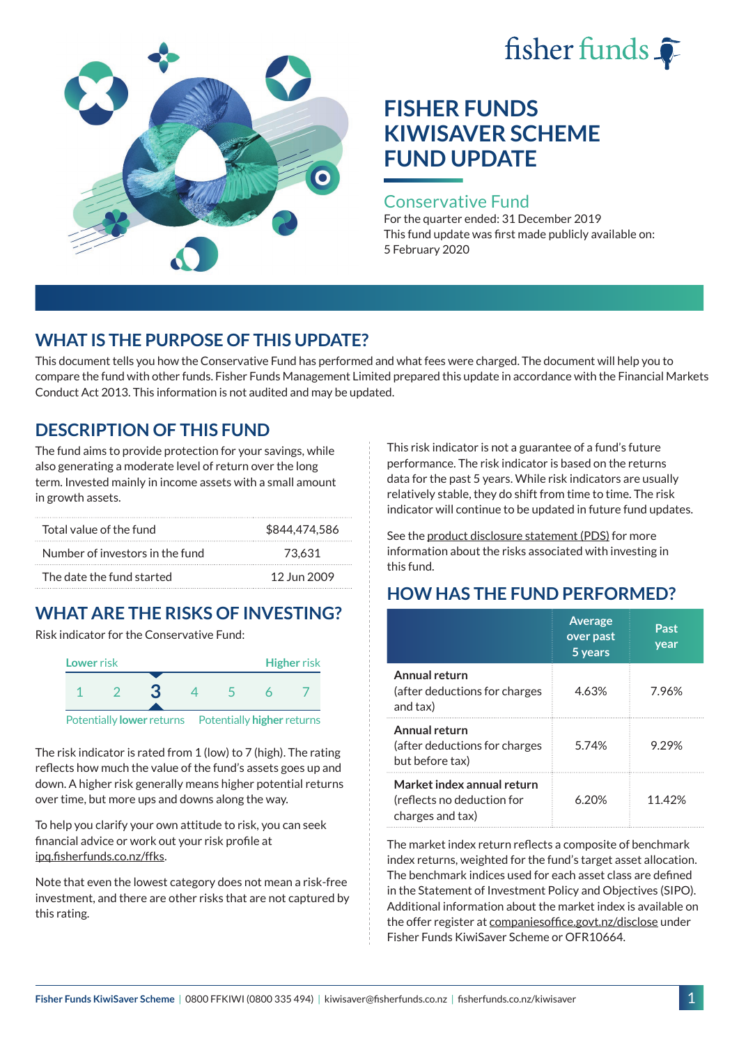# fisher funds  $\hat{\bullet}$



# **FISHER FUNDS KIWISAVER SCHEME FUND UPDATE**

#### Conservative Fund

For the quarter ended: 31 December 2019 This fund update was first made publicly available on: 5 February 2020

# **WHAT IS THE PURPOSE OF THIS UPDATE?**

This document tells you how the Conservative Fund has performed and what fees were charged. The document will help you to compare the fund with other funds. Fisher Funds Management Limited prepared this update in accordance with the Financial Markets Conduct Act 2013. This information is not audited and may be updated.

# **DESCRIPTION OF THIS FUND**

The fund aims to provide protection for your savings, while also generating a moderate level of return over the long term. Invested mainly in income assets with a small amount in growth assets.

| Total value of the fund         | \$844,474,586 |
|---------------------------------|---------------|
| Number of investors in the fund | 73.631        |
| The date the fund started       | 12 Jun 2009   |

# **WHAT ARE THE RISKS OF INVESTING?**

Risk indicator for the Conservative Fund:



The risk indicator is rated from 1 (low) to 7 (high). The rating reflects how much the value of the fund's assets goes up and down. A higher risk generally means higher potential returns over time, but more ups and downs along the way.

To help you clarify your own attitude to risk, you can seek financial advice or work out your risk profile at [ipq.fisherfunds.co.nz/ffks](https://ipq.fisherfunds.co.nz/ffks).

Note that even the lowest category does not mean a risk-free investment, and there are other risks that are not captured by this rating.

This risk indicator is not a guarantee of a fund's future performance. The risk indicator is based on the returns data for the past 5 years. While risk indicators are usually relatively stable, they do shift from time to time. The risk indicator will continue to be updated in future fund updates.

See the [product disclosure statement \(PDS\)](https://fisherfunds.co.nz/assets/PDS/Fisher-Funds-KiwiSaver-Scheme-PDS.pdf) for more information about the risks associated with investing in this fund.

# **HOW HAS THE FUND PERFORMED?**

|                                                                              | <b>Average</b><br>over past<br>5 years | Past<br>year |
|------------------------------------------------------------------------------|----------------------------------------|--------------|
| Annual return<br>(after deductions for charges<br>and tax)                   | 4.63%                                  | 7.96%        |
| Annual return<br>(after deductions for charges<br>but before tax)            | 5.74%                                  | 9.29%        |
| Market index annual return<br>(reflects no deduction for<br>charges and tax) | 6.20%                                  | 11.42%       |

The market index return reflects a composite of benchmark index returns, weighted for the fund's target asset allocation. The benchmark indices used for each asset class are defined in the Statement of Investment Policy and Objectives (SIPO). Additional information about the market index is available on the offer register at [companiesoffice.govt.nz/disclose](http://companiesoffice.govt.nz/disclose) under Fisher Funds KiwiSaver Scheme or OFR10664.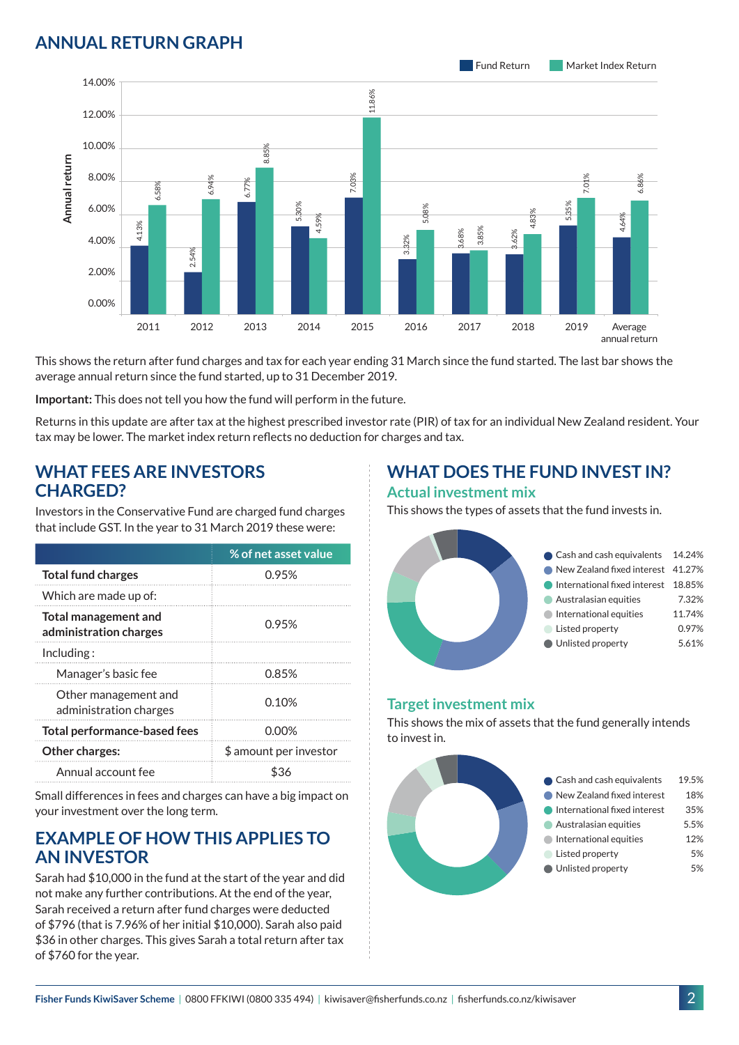### **ANNUAL RETURN GRAPH**



This shows the return after fund charges and tax for each year ending 31 March since the fund started. The last bar shows the average annual return since the fund started, up to 31 December 2019.

**Important:** This does not tell you how the fund will perform in the future.

Returns in this update are after tax at the highest prescribed investor rate (PIR) of tax for an individual New Zealand resident. Your tax may be lower. The market index return reflects no deduction for charges and tax.

#### **WHAT FEES ARE INVESTORS CHARGED?**

Investors in the Conservative Fund are charged fund charges that include GST. In the year to 31 March 2019 these were:

|                                                       | % of net asset value   |
|-------------------------------------------------------|------------------------|
| <b>Total fund charges</b>                             | 0.95%                  |
| Which are made up of:                                 |                        |
| <b>Total management and</b><br>administration charges | 0.95%                  |
| Including:                                            |                        |
| Manager's basic fee                                   | 0.85%                  |
| Other management and<br>administration charges        | 0.10%                  |
| <b>Total performance-based fees</b>                   | 0.00%                  |
| <b>Other charges:</b>                                 | \$ amount per investor |
| Annual account fee                                    |                        |

Small differences in fees and charges can have a big impact on your investment over the long term.

#### **EXAMPLE OF HOW THIS APPLIES TO AN INVESTOR**

Sarah had \$10,000 in the fund at the start of the year and did not make any further contributions. At the end of the year, Sarah received a return after fund charges were deducted of \$796 (that is 7.96% of her initial \$10,000). Sarah also paid \$36 in other charges. This gives Sarah a total return after tax of \$760 for the year.

# **WHAT DOES THE FUND INVEST IN?**

#### **Actual investment mix**

This shows the types of assets that the fund invests in.



#### **Target investment mix**

This shows the mix of assets that the fund generally intends to invest in.